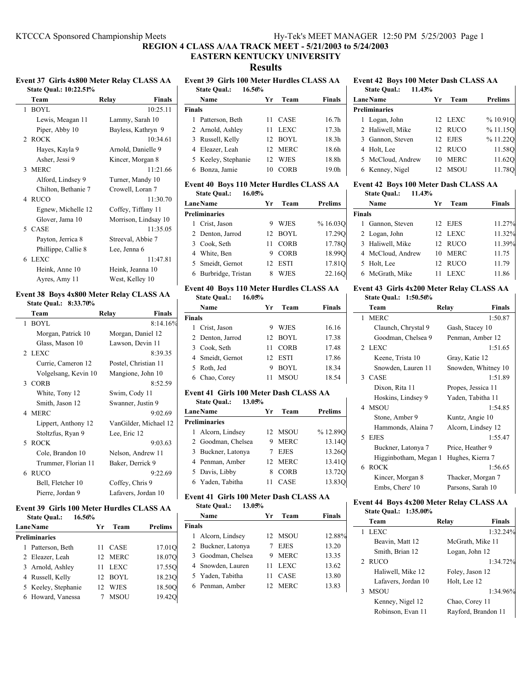## **EASTERN KENTUCKY UNIVERSITY**

**Results**

## **Event 37 Girls 4x800 Meter Relay CLASS AA State Qual.: 10:22.51%**

 $\mathbf{I}$ 

| Team                | <b>Finals</b><br>Relay |
|---------------------|------------------------|
| 1 BOYL              | 10:25.11               |
| Lewis, Meagan 11    | Lammy, Sarah 10        |
| Piper, Abby 10      | Bayless, Kathryn 9     |
| 2 ROCK              | 10:34.61               |
| Hayes, Kayla 9      | Arnold, Danielle 9     |
| Asher, Jessi 9      | Kincer, Morgan 8       |
| 3 MERC              | 11:21.66               |
| Alford, Lindsey 9   | Turner, Mandy 10       |
| Chilton, Bethanie 7 | Crowell, Loran 7       |
| 4 RUCO              | 11:30.70               |
| Egnew, Michelle 12  | Coffey, Tiffany 11     |
| Glover, Jama 10     | Morrison, Lindsay 10   |
| 5 CASE              | 11:35.05               |
| Payton, Jerrica 8   | Streeval, Abbie 7      |
| Phillippe, Callie 8 | Lee, Jenna 6           |
| 6 LEXC              | 11:47.81               |
| Heink, Anne 10      | Heink, Jeanna 10       |
| Ayres, Amy 11       | West, Kelley 10        |

### **Event 38 Boys 4x800 Meter Relay CLASS AA State Qual.: 8:33.70%**

| Team                 | <b>Finals</b><br>Relay |
|----------------------|------------------------|
| 1 BOYL               | $8:14.16\%$            |
| Morgan, Patrick 10   | Morgan, Daniel 12      |
| Glass, Mason 10      | Lawson, Devin 11       |
| 2 LEXC               | 8:39.35                |
| Currie, Cameron 12   | Postel, Christian 11   |
| Volgelsang, Kevin 10 | Mangione, John 10      |
| 3 CORB               | 8:52.59                |
| White, Tony 12       | Swim, Cody 11          |
| Smith, Jason 12      | Swanner, Justin 9      |
| 4 MERC               | 9:02.69                |
| Lippert, Anthony 12  | VanGilder, Michael 12  |
| Stoltzfus, Ryan 9    | Lee, Eric 12           |
| 5 ROCK               | 9:03.63                |
| Cole, Brandon 10     | Nelson, Andrew 11      |
| Trummer, Florian 11  | Baker, Derrick 9       |
| 6 RUCO               | 9:22.69                |
| Bell, Fletcher 10    | Coffey, Chris 9        |
| Pierre, Jordan 9     | Lafavers, Jordan 10    |

#### **Event 39 Girls 100 Meter Hurdles CLASS AA**<br>State Oual: 16.50% **16.56%**

|  | <b>State Qual.:</b> |
|--|---------------------|
|--|---------------------|

| <b>Lane Name</b>     | Уr | Team        | <b>Prelims</b> |
|----------------------|----|-------------|----------------|
| <b>Preliminaries</b> |    |             |                |
| 1 Patterson, Beth    | 11 | CASE        | 17.01Q         |
| 2 Eleazer, Leah      |    | 12 MERC     | 18.07Q         |
| 3 Arnold, Ashley     |    | 11 LEXC     | 17.550         |
| 4 Russell, Kelly     |    | 12 BOYL     | 18.230         |
| 5 Keeley, Stephanie  |    | 12 WJES     | 18.50O         |
| 6 Howard, Vanessa    |    | <b>MSOU</b> | 19.42O         |

## **Event 39 Girls 100 Meter Hurdles CLASS AA State Qual.: 16.56% Name Yr Team Finals Finals**

| 1 Patterson, Beth   | 11 CASE            | 16.7h             |
|---------------------|--------------------|-------------------|
| 2 Arnold, Ashley    | 11 LEXC            | 17.3 <sub>h</sub> |
| 3 Russell, Kelly    | 12 BOYL            | 18.3h             |
| 4 Eleazer, Leah     | 12 MERC            | 18.6h             |
| 5 Keeley, Stephanie | 12 WJES            | 18.8h             |
| 6 Bonza, Jamie      | <b>CORB</b><br>10. | 19.0h             |

#### **Event 40 Boys 110 Meter Hurdles CLASS AA State Qual.: 16.05%**

| <b>LaneName</b>      | Yr | Team        | Prelims |
|----------------------|----|-------------|---------|
| <b>Preliminaries</b> |    |             |         |
| 1 Crist, Jason       | 9  | WJES        | %16.03O |
| 2 Denton, Jarrod     |    | 12 BOYL     | 17.290  |
| 3 Cook, Seth         | 11 | <b>CORB</b> | 17.78Q  |
| 4 White, Ben         | 9  | <b>CORB</b> | 18.990  |
| 5 Smeidt, Gernot     |    | 12 ESTI     | 17.81Q  |
| 6 Burbridge, Tristan |    | <b>WJES</b> | 22.160  |
|                      |    |             |         |

### **Event 40 Boys 110 Meter Hurdles CLASS AA State Qual.: 16.05%**

| Name             | Уr  | Team        | <b>Finals</b> |
|------------------|-----|-------------|---------------|
| <b>Finals</b>    |     |             |               |
| 1 Crist, Jason   | 9   | <b>WJES</b> | 16.16         |
| 2 Denton, Jarrod |     | $12$ BOYL   | 17.38         |
| 3 Cook, Seth     | 11  | <b>CORB</b> | 17.48         |
| 4 Smeidt, Gernot | 12. | ESTI        | 17.86         |
| 5 Roth, Jed      | 9   | BOYL        | 18.34         |
| 6 Chao, Corey    |     | <b>MSOU</b> | 18.54         |

## **Event 41 Girls 100 Meter Dash CLASS AA**

| 13.05%<br><b>State Qual.:</b> |    |             |                    |
|-------------------------------|----|-------------|--------------------|
| <b>LaneName</b>               | Уr | Team        | Prelims            |
| Preliminaries                 |    |             |                    |
| 1 Alcorn, Lindsey             |    | 12 MSOU     | %12.89O            |
| 2 Goodman, Chelsea            | 9  | MERC        | 13.14Q             |
| 3 Buckner, Latonya            | 7  | EJES        | 13.260             |
| 4 Penman, Amber               |    | 12 MERC     | 13.41 <sub>O</sub> |
| 5 Davis, Libby                | 8  | <b>CORB</b> | 13.720             |
| 6 Yaden, Tabitha              |    | CASE        | 13.830             |
|                               |    |             |                    |

# **Event 41 Girls 100 Meter Dash CLASS AA**

 $\mathbf{I}$ 

|               | ны тоо нтого разн статов на<br><b>State Qual.:</b><br>13.05% |    |             |        |  |  |
|---------------|--------------------------------------------------------------|----|-------------|--------|--|--|
|               | Name                                                         | Уr | Team        | Finals |  |  |
| <b>Finals</b> |                                                              |    |             |        |  |  |
|               | 1 Alcorn, Lindsey                                            |    | 12 MSOU     | 12.88% |  |  |
|               | 2 Buckner, Latonya                                           |    | <b>EJES</b> | 13.20  |  |  |
|               | 3 Goodman, Chelsea                                           | 9  | MERC        | 13.35  |  |  |
|               | 4 Snowden, Lauren                                            |    | 11 LEXC     | 13.62  |  |  |
|               | 5 Yaden, Tabitha                                             | 11 | <b>CASE</b> | 13.80  |  |  |
|               | 6 Penman, Amber                                              | 12 | MERC        | 13.83  |  |  |

#### **Event 42 Boys 100 Meter Dash CLASS AA State Qual.: 11.43%**

|   | 11.43%<br><b>State Qual.:</b> |    |             |                |
|---|-------------------------------|----|-------------|----------------|
|   | <b>LaneName</b>               | Уr | Team        | <b>Prelims</b> |
|   | <b>Preliminaries</b>          |    |             |                |
| 1 | Logan, John                   |    | 12 LEXC     | %10.91O        |
|   | 2 Haliwell, Mike              |    | 12 RUCO     | %11.15O        |
| 3 | Gannon, Steven                |    | 12 EJES     | %11.22O        |
|   | 4 Holt, Lee                   |    | 12 RUCO     | 11.58O         |
|   | 5 McCloud, Andrew             | 10 | <b>MERC</b> | 11.620         |
|   | 6 Kenney, Nigel               |    | MSOU        | 11.78          |

#### **Event 42 Boys 100 Meter Dash CLASS AA State Qual.: 11.43%**

| 11.43%<br><b>State Qual.:</b> |                                |               |
|-------------------------------|--------------------------------|---------------|
| Name                          | Team<br>Уr                     | <b>Finals</b> |
| <b>Finals</b>                 |                                |               |
| Gannon, Steven                | 12 EJES                        | 11.27%        |
| 2 Logan, John                 | 12 LEXC                        | 11.32%        |
| 3 Haliwell, Mike              | <b>RUCO</b><br>12 <sub>1</sub> | 11.39%        |
| 4 McCloud, Andrew             | <b>MERC</b><br>10              | 11.75         |
| 5 Holt, Lee                   | <b>RUCO</b><br>12              | 11.79         |
| 6 McGrath, Mike               | LEXC                           | 11.86         |

### **Event 43 Girls 4x200 Meter Relay CLASS AA State Qual.: 1:50.56%**

| Team                  | Relay              | <b>Finals</b>       |
|-----------------------|--------------------|---------------------|
| 1 MERC                |                    | 1:50.87             |
| Claunch, Chrystal 9   | Gash, Stacey 10    |                     |
| Goodman, Chelsea 9    | Penman, Amber 12   |                     |
| 2 LEXC                |                    | 1:51.65             |
| Keene, Trista 10      | Gray, Katie 12     |                     |
| Snowden, Lauren 11    |                    | Snowden, Whitney 10 |
| 3 CASE                |                    | 1:51.89             |
| Dixon, Rita 11        | Propes, Jessica 11 |                     |
| Hoskins, Lindsey 9    | Yaden, Tabitha 11  |                     |
| 4 MSOU                |                    | 1:54.85             |
| Stone, Amber 9        | Kuntz, Angie 10    |                     |
| Hammonds, Alaina 7    | Alcorn, Lindsey 12 |                     |
| 5 EJES                |                    | 1:55.47             |
| Buckner, Latonya 7    | Price, Heather 9   |                     |
| Higginbotham, Megan 1 | Hughes, Kierra 7   |                     |
| 6 ROCK                |                    | 1:56.65             |
| Kincer, Morgan 8      | Thacker, Morgan 7  |                     |
| Embs, Chere' 10       | Parsons, Sarah 10  |                     |

#### **Event 44 Boys 4x200 Meter Relay CLASS AA State Qual.: 1:35.00%**

| 5.00000             |                  |                     |
|---------------------|------------------|---------------------|
| Team                | Relav            | Finals              |
| 1 LEXC              |                  | 1:32.24%            |
| Beavin, Matt 12     | McGrath, Mike 11 |                     |
| Smith, Brian 12     | Logan, John 12   |                     |
| 2 RUCO              |                  | 1:34.72%            |
| Haliwell, Mike 12   | Foley, Jason 12  |                     |
| Lafavers, Jordan 10 | Holt, Lee 12     |                     |
| 3 MSOU              |                  | 1:34.96%            |
| Kenney, Nigel 12    | Chao, Corey 11   |                     |
| Robinson, Evan 11   |                  | Rayford, Brandon 11 |
|                     |                  |                     |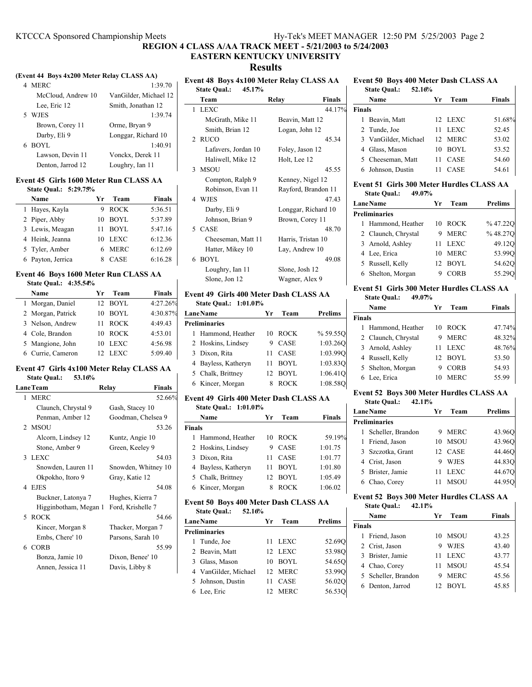## **(Event 44 Boys 4x200 Meter Relay CLASS AA)**

| 4 MERC             | 1:39.70               |
|--------------------|-----------------------|
| McCloud, Andrew 10 | VanGilder, Michael 12 |
| Lee, Eric 12       | Smith, Jonathan 12    |
| 5 WJES             | 1:39.74               |
| Brown, Corey 11    | Orme, Bryan 9         |
| Darby, Eli 9       | Longgar, Richard 10   |
| 6 BOYL             | 1:40.91               |
| Lawson, Devin 11   | Vonckx, Derek 11      |
| Denton, Jarrod 12  | Loughry, Ian 11       |
|                    |                       |

### **Event 45 Girls 1600 Meter Run CLASS AA State Qual.: 5:29.75%**

| Name              | Уr | Team        | <b>Finals</b> |
|-------------------|----|-------------|---------------|
| 1 Hayes, Kayla    |    | <b>ROCK</b> | 5:36.51       |
| 2 Piper, Abby     | 10 | <b>BOYL</b> | 5:37.89       |
| 3 Lewis, Meagan   | 11 | BOYL        | 5:47.16       |
| 4 Heink, Jeanna   | 10 | <b>LEXC</b> | 6:12.36       |
| 5 Tyler, Amber    |    | 6 MERC      | 6:12.69       |
| 6 Payton, Jerrica |    | CASE        | 6:16.28       |

#### **Event 46 Boys 1600 Meter Run CLASS AA State Qual.: 4:35.54%**

| Name              | Уr | Team        | <b>Finals</b> |
|-------------------|----|-------------|---------------|
| 1 Morgan, Daniel  |    | 12 BOYL     | 4:27.26%      |
| 2 Morgan, Patrick | 10 | <b>BOYL</b> | 4:30.87%      |
| 3 Nelson, Andrew  | 11 | <b>ROCK</b> | 4:49.43       |
| 4 Cole, Brandon   | 10 | <b>ROCK</b> | 4:53.01       |
| 5 Mangione, John  | 10 | LEXC        | 4:56.98       |
| 6 Currie, Cameron | 12 | LEXC        | 5:09.40       |

## **Event 47 Girls 4x100 Meter Relay CLASS AA**

| <b>State Qual.:</b><br>53.16% |                        |
|-------------------------------|------------------------|
| <b>LaneTeam</b>               | <b>Finals</b><br>Relay |
| 1 MERC                        | 52.66%                 |
| Claunch, Chrystal 9           | Gash, Stacey 10        |
| Penman, Amber 12              | Goodman, Chelsea 9     |
| 2 MSOU                        | 53.26                  |
| Alcorn, Lindsey 12            | Kuntz, Angie 10        |
| Stone, Amber 9                | Green, Keeley 9        |
| 3 LEXC                        | 54.03                  |
| Snowden, Lauren 11            | Snowden, Whitney 10    |
| Okpokho, Itoro 9              | Gray, Katie 12         |
| 4 EJES                        | 54.08                  |
| Buckner, Latonya 7            | Hughes, Kierra 7       |
| Higginbotham, Megan 1         | Ford, Krishelle 7      |
| 5 ROCK                        | 54.66                  |
| Kincer, Morgan 8              | Thacker, Morgan 7      |
| Embs, Chere' 10               | Parsons, Sarah 10      |
| 6 CORB                        | 55.99                  |
| Bonza, Jamie 10               | Dixon, Benee' 10       |
| Annen, Jessica 11             | Davis, Libby 8         |

# **Results Event 48 Boys 4x100 Meter Relay CLASS AA**

**EASTERN KENTUCKY UNIVERSITY**

| <b>State Qual.:</b><br>45.17% |                     |
|-------------------------------|---------------------|
| Team                          | Finals<br>Relay     |
| 1 LEXC                        | 44.17%              |
| McGrath, Mike 11              | Beavin, Matt 12     |
| Smith, Brian 12               | Logan, John 12      |
| 2 RUCO                        | 45.34               |
| Lafavers, Jordan 10           | Foley, Jason 12     |
| Haliwell, Mike 12             | Holt, Lee 12        |
| 3 MSOU                        | 45.55               |
| Compton, Ralph 9              | Kenney, Nigel 12    |
| Robinson, Evan 11             | Rayford, Brandon 11 |
| 4 WJES                        | 47.43               |
| Darby, Eli 9                  | Longgar, Richard 10 |
| Johnson, Brian 9              | Brown, Corey 11     |
| 5 CASE                        | 48.70               |
| Cheeseman, Matt 11            | Harris, Tristan 10  |
| Hatter, Mikey 10              | Lay, Andrew 10      |
| 6 BOYL                        | 49.08               |
| Loughry, Ian 11               | Slone, Josh 12      |
| Slone, Jon 12                 | Wagner, Alex 9      |
|                               |                     |

## **Event 49 Girls 400 Meter Dash CLASS AA**

| <b>State Oual.: 1:01.01%</b> |     |             |          |  |
|------------------------------|-----|-------------|----------|--|
| <b>LaneName</b>              | Уr  | Team        | Prelims  |  |
| <b>Preliminaries</b>         |     |             |          |  |
| 1 Hammond, Heather           | 10  | <b>ROCK</b> | %59.55O  |  |
| 2 Hoskins, Lindsey           |     | 9 CASE      | 1:03.260 |  |
| 3 Dixon, Rita                | 11  | <b>CASE</b> | 1:03.990 |  |
| 4 Bayless, Katheryn          | 11  | <b>BOYL</b> | 1:03.830 |  |
| 5 Chalk, Brittney            | 12. | <b>BOYL</b> | 1:06.410 |  |
| 6 Kincer, Morgan             | 8   | <b>ROCK</b> | 1:08.580 |  |

## **Event 49 Girls 400 Meter Dash CLASS AA**

| <b>State Oual.: 1:01.01%</b> |                     |     |             |               |
|------------------------------|---------------------|-----|-------------|---------------|
|                              | Name                | Уr  | Team        | <b>Finals</b> |
| <b>Finals</b>                |                     |     |             |               |
|                              | 1 Hammond, Heather  | 10  | <b>ROCK</b> | 59.19%        |
|                              | 2 Hoskins, Lindsey  | 9   | <b>CASE</b> | 1:01.75       |
|                              | 3 Dixon, Rita       | 11  | <b>CASE</b> | 1:01.77       |
|                              | 4 Bayless, Katheryn | 11  | BOYL        | 1:01.80       |
|                              | 5 Chalk, Brittney   | 12. | BOYL        | 1:05.49       |
|                              | Kincer, Morgan      |     | <b>ROCK</b> | 1:06.02       |

## **Event 50 Boys 400 Meter Dash CLASS AA State Qual.: 52.16%**

| <b>LaneName</b>      | Team<br>Yr        | Prelims |
|----------------------|-------------------|---------|
| <b>Preliminaries</b> |                   |         |
| 1 Tunde, Joe         | 11 LEXC           | 52.690  |
| 2 Beavin, Matt       | 12 LEXC           | 53.980  |
| 3 Glass, Mason       | BOYL<br>10        | 54.650  |
| 4 VanGilder, Michael | 12 MERC           | 53.990  |
| 5 Johnson, Dustin    | <b>CASE</b><br>11 | 56.020  |
| 6 Lee, Eric          | <b>MERC</b>       | 56.530  |

#### **Event 50 Boys 400 Meter Dash CLASS AA State Qual.: 52.16%**

 $\mathbf{I}$ 

H

|               | <br>$\sim$ - $\sim$ $\sim$ |                 |             |               |
|---------------|----------------------------|-----------------|-------------|---------------|
|               | Name                       | Уr              | Team        | <b>Finals</b> |
| <b>Finals</b> |                            |                 |             |               |
|               | 1 Beavin, Matt             |                 | 12 LEXC     | 51.689        |
|               | 2 Tunde, Joe               |                 | <b>LEXC</b> | 52.45         |
|               | 3 VanGilder, Michael       | 12 <sub>1</sub> | MERC        | 53.02         |
|               | 4 Glass, Mason             | 10              | <b>BOYL</b> | 53.52         |
|               | 5 Cheeseman, Matt          |                 | <b>CASE</b> | 54.60         |
|               | Johnson, Dustin            |                 | CASE        | 54.61         |

### **Event 51 Girls 300 Meter Hurdles CLASS AA State Qual.: 49.07%**

| <b>LaneName</b>      | Уr | Team        | <b>Prelims</b> |
|----------------------|----|-------------|----------------|
| <b>Preliminaries</b> |    |             |                |
| 1 Hammond, Heather   | 10 | <b>ROCK</b> | %47.22Q        |
| 2 Claunch, Chrystal  | 9  | <b>MERC</b> | %48.27Q        |
| 3 Arnold, Ashley     |    | LEXC        | 49.12O         |
| 4 Lee, Erica         | 10 | MERC        | 53.990         |
| 5 Russell, Kelly     |    | 12 BOYL     | 54.620         |
| 6 Shelton, Morgan    |    | <b>CORB</b> | 55.290         |

#### **Event 51 Girls 300 Meter Hurdles CLASS AA State Qual.: 49.07%**

 $\mathbf{r}$ 

|               | Name                | Vr | Team        | <b>Finals</b> |
|---------------|---------------------|----|-------------|---------------|
| <b>Finals</b> |                     |    |             |               |
|               | 1 Hammond, Heather  | 10 | <b>ROCK</b> | 47.74%        |
|               | 2 Claunch, Chrystal |    | <b>MERC</b> | 48.32%        |
|               | 3 Arnold, Ashley    |    | LEXC        | 48.76%        |
|               | 4 Russell, Kelly    |    | 12 BOYL     | 53.50         |
|               | 5 Shelton, Morgan   |    | <b>CORB</b> | 54.93         |
|               | Lee, Erica          | 10 | MERC        | 55.99         |

#### **Event 52 Boys 300 Meter Hurdles CLASS AA State Qual.: 42.11%**

|    | state Qual.:<br>44.1170 |    |             |         |
|----|-------------------------|----|-------------|---------|
|    | <b>LaneName</b>         | Уr | Team        | Prelims |
|    | <b>Preliminaries</b>    |    |             |         |
|    | 1 Scheller, Brandon     | 9  | <b>MERC</b> | 43.96O  |
|    | 1 Friend, Jason         | 10 | <b>MSOU</b> | 43.96O  |
|    | 3 Szczotka, Grant       |    | 12 CASE     | 44.46O  |
|    | 4 Crist, Jason          | 9  | WJES        | 44.83O  |
|    | 5 Brister, Jamie        | 11 | <b>LEXC</b> | 44.67Q  |
| 6. | Chao, Corey             | 11 | MSOU        | 44.95O  |
|    |                         |    |             |         |

#### **Event 52 Boys 300 Meter Hurdles CLASS AA**<br>State Oual : 42 11% **State Qual.: 42.11%**

|               | state Qual.:<br>44.1170 |                 |             |               |
|---------------|-------------------------|-----------------|-------------|---------------|
|               | Name                    | Уr              | Team        | <b>Finals</b> |
| <b>Finals</b> |                         |                 |             |               |
|               | 1 Friend, Jason         | 10              | <b>MSOU</b> | 43.25         |
|               | 2 Crist, Jason          | 9               | <b>WJES</b> | 43.40         |
|               | 3 Brister, Jamie        | 11              | LEXC        | 43.77         |
|               | 4 Chao, Corey           | 11              | <b>MSOU</b> | 45.54         |
|               | 5 Scheller, Brandon     | 9               | <b>MERC</b> | 45.56         |
|               | 6 Denton, Jarrod        | 12 <sub>1</sub> | BOYL        | 45.85         |
|               |                         |                 |             |               |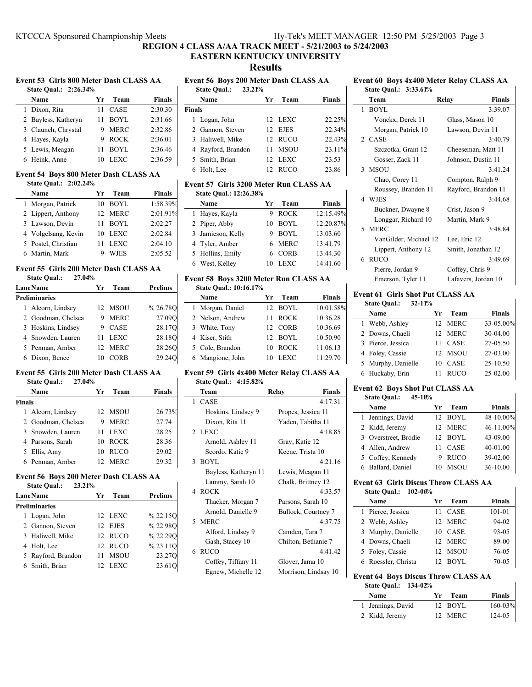## **Event 53 Girls 800 Meter Dash CLASS AA**

| State Qual.: 2:26.34% |    |             |               |
|-----------------------|----|-------------|---------------|
| Name                  | Уr | Team        | <b>Finals</b> |
| 1 Dixon, Rita         | 11 | <b>CASE</b> | 2:30.30       |
| 2 Bayless, Katheryn   |    | BOYL        | 2:31.66       |
| 3 Claunch, Chrystal   |    | <b>MERC</b> | 2:32.86       |
| 4 Hayes, Kayla        |    | <b>ROCK</b> | 2:36.01       |
| 5 Lewis, Meagan       | 11 | BOYL        | 2:36.46       |
| 6 Heink, Anne         |    | <b>LEXC</b> | 2:36.59       |

#### **Event 54 Boys 800 Meter Dash CLASS AA State Qual.: 2:02.24%**

| DIALC QUAL. 4.04.4470 |    |             |               |
|-----------------------|----|-------------|---------------|
| Name                  | Уr | Team        | <b>Finals</b> |
| 1 Morgan, Patrick     | 10 | BOYL        | 1:58.39%      |
| 2 Lippert, Anthony    | 12 | <b>MERC</b> | 2:01.91%      |
| 3 Lawson, Devin       | 11 | BOYL        | 2:02.27       |
| 4 Volgelsang, Kevin   | 10 | <b>LEXC</b> | 2:02.84       |
| 5 Postel, Christian   |    | <b>LEXC</b> | 2:04.10       |
| 6 Martin, Mark        |    | WJES        | 2:05.52       |

### **Event 55 Girls 200 Meter Dash CLASS AA State Qual.: 27.04%**

| <b>Lane Name</b>     | Уr | Team        | <b>Prelims</b> |
|----------------------|----|-------------|----------------|
| <b>Preliminaries</b> |    |             |                |
| 1 Alcorn, Lindsey    |    | 12 MSOU     | %26.78O        |
| 2 Goodman, Chelsea   | 9  | <b>MERC</b> | 27.090         |
| 3 Hoskins, Lindsey   |    | <b>CASE</b> | 28.17Q         |
| 4 Snowden, Lauren    | 11 | LEXC        | 28.18Q         |
| 5 Penman, Amber      | 12 | <b>MERC</b> | 28.260         |
| 6 Dixon, Benee'      |    | 'OR B       | 29.24          |

## **Event 55 Girls 200 Meter Dash CLASS AA State Qual.: 27.04%**

|               | Name               | Yr  | Team        | <b>Finals</b> |   |
|---------------|--------------------|-----|-------------|---------------|---|
| <b>Finals</b> |                    |     |             |               |   |
|               | 1 Alcorn, Lindsey  |     | 12 MSOU     | 26.73%        |   |
|               | 2 Goodman, Chelsea | 9   | <b>MERC</b> | 27.74         |   |
|               | 3 Snowden, Lauren  | 11  | <b>LEXC</b> | 28.25         | 2 |
|               | 4 Parsons, Sarah   | 10  | <b>ROCK</b> | 28.36         |   |
|               | 5 Ellis, Amy       | 10  | <b>RUCO</b> | 29.02         |   |
|               | 6 Penman, Amber    | 12. | <b>MERC</b> | 29.32         | p |

#### **Event 56 Boys 200 Meter Dash CLASS AA State Qual.: 23.21%**

| <b>State Qual.:</b> |    |             |                                         |
|---------------------|----|-------------|-----------------------------------------|
| <b>Lane Name</b>    | Yr | Team        | <b>Prelims</b>                          |
| Preliminaries       |    |             |                                         |
| 1 Logan, John       |    |             | % 22.15Q                                |
| 2 Gannon, Steven    | 12 |             | %22.98O                                 |
| 3 Haliwell, Mike    | 12 |             | %22.290                                 |
| 4 Holt, Lee         | 12 |             | %23.11O                                 |
| 5 Rayford, Brandon  | 11 | <b>MSOU</b> | 23.270                                  |
| 6 Smith, Brian      |    |             | 23.610                                  |
|                     |    | 23.21%      | 12 LEXC<br>EJES<br>RUCO<br>RUCO<br>LEXC |

# **Results Event 56 Boys 200 Meter Dash CLASS AA**

**EASTERN KENTUCKY UNIVERSITY**

|               | <b>State Qual.:</b><br>23.21% |     |             |               |
|---------------|-------------------------------|-----|-------------|---------------|
|               | Name                          | Уr  | Team        | <b>Finals</b> |
| <b>Finals</b> |                               |     |             |               |
|               | 1 Logan, John                 |     | 12 LEXC     | 22.25%        |
|               | 2 Gannon, Steven              |     | 12 EJES     | 22.34%        |
|               | 3 Haliwell, Mike              |     | 12 RUCO     | 22.43%        |
|               | 4 Rayford, Brandon            | 11  | <b>MSOU</b> | 23.11%        |
|               | 5 Smith, Brian                |     | 12 LEXC     | 23.53         |
|               | Holt, Lee                     | 12. | <b>RUCO</b> | 23.86         |

### **Event 57 Girls 3200 Meter Run CLASS AA State Qual.: 12:26.38%**

| Name              | Yг | Team        | <b>Finals</b> |
|-------------------|----|-------------|---------------|
| 1 Hayes, Kayla    |    | 9 ROCK      | 12:15.49%     |
| 2 Piper, Abby     | 10 | <b>BOYL</b> | 12:20.87%     |
| 3 Jamieson, Kelly |    | BOYL        | 13:03.60      |
| 4 Tyler, Amber    |    | 6 MERC      | 13:41.79      |
| 5 Hollins, Emily  |    | 6 CORB      | 13:44.30      |
| 6 West, Kelley    |    | <b>LEXC</b> | 14:41.60      |

#### **Event 58 Boys 3200 Meter Run CLASS AA State Qual.: 10:16.17%**

| State Qual., 10,10,1770 |    |             |               |
|-------------------------|----|-------------|---------------|
| Name                    | Yг | Team        | <b>Finals</b> |
| 1 Morgan, Daniel        |    | 12 BOYL     | 10:01.58%     |
| 2 Nelson, Andrew        | 11 | <b>ROCK</b> | 10:36.28      |
| 3 White, Tony           |    | 12 CORB     | 10:36.69      |
| 4 Kiser, Stith          |    | $12$ BOYL   | 10:50.90      |
| 5 Cole, Brandon         | 10 | <b>ROCK</b> | 11:06.13      |
| 6 Mangione, John        |    | <b>LEXC</b> | 11:29.70      |

### **Event 59 Girls 4x400 Meter Relay CLASS AA State Qual.: 4:15.82%**

| Team                 | <b>Finals</b><br>Relay |  |
|----------------------|------------------------|--|
| 1 CASE               | 4:17.31                |  |
| Hoskins, Lindsey 9   | Propes, Jessica 11     |  |
| Dixon, Rita 11       | Yaden, Tabitha 11      |  |
| 2 LEXC               | 4:18.85                |  |
| Arnold, Ashley 11    | Gray, Katie 12         |  |
| Scordo, Katie 9      | Keene, Trista 10       |  |
| 3 BOYL               | 4:21.16                |  |
| Bayless, Katheryn 11 | Lewis, Meagan 11       |  |
| Lammy, Sarah 10      | Chalk, Brittney 12     |  |
| 4 ROCK               | 4:33.57                |  |
| Thacker, Morgan 7    | Parsons, Sarah 10      |  |
| Arnold, Danielle 9   | Bullock, Courtney 7    |  |
| 5 MERC               | 4:37.75                |  |
| Alford, Lindsey 9    | Camden, Tara 7         |  |
| Gash, Stacey 10      | Chilton, Bethanie 7    |  |
| 6 RUCO               | 4:41.42                |  |
| Coffey, Tiffany 11   | Glover, Jama 10        |  |
| Egnew, Michelle 12   | Morrison, Lindsay 10   |  |

#### **Event 60 Boys 4x400 Meter Relay CLASS AA State Qual.: 3:33.61%**

| State Qual.: 3:33.01% |                 |                     |
|-----------------------|-----------------|---------------------|
| Team                  | Relay           | Finals              |
| 1 BOYL                |                 | 3:39.07             |
| Vonckx, Derek 11      | Glass, Mason 10 |                     |
| Morgan, Patrick 10    |                 | Lawson, Devin 11    |
| 2 CASE                |                 | 3:40.79             |
| Szczotka, Grant 12    |                 | Cheeseman, Matt 11  |
| Gosser, Zack 11       |                 | Johnson, Dustin 11  |
| 3 MSOU                |                 | 3:41.24             |
| Chao, Corey 11        |                 | Compton, Ralph 9    |
| Roussey, Brandon 11   |                 | Rayford, Brandon 11 |
| 4 WJES                |                 | 3:44.68             |
| Buckner, Dwayne 8     | Crist, Jason 9  |                     |
| Longgar, Richard 10   | Martin, Mark 9  |                     |
| 5 MERC                |                 | 3:48.84             |
| VanGilder, Michael 12 | Lee, Eric 12    |                     |
| Lippert, Anthony 12   |                 | Smith, Jonathan 12  |
| 6 RUCO                |                 | 3:49.69             |
| Pierre, Jordan 9      | Coffey, Chris 9 |                     |
| Emerson, Tyler 11     |                 | Lafavers, Jordan 10 |

#### **Event 61 Girls Shot Put CLASS AA State Qual.: 32-11%**

| state Qual.:<br>$32 - 1170$ |                   |               |
|-----------------------------|-------------------|---------------|
| Name                        | Team<br>Уr        | <b>Finals</b> |
| 1 Webb, Ashley              | 12 MERC           | 33-05.00%     |
| 2 Downs, Chaeli             | MERC              | 30-04.00      |
| 3 Pierce, Jessica           | <b>CASE</b>       | 27-05.50      |
| 4 Foley, Cassie             | MSOU              | 27-03.00      |
| 5 Murphy, Danielle          | <b>CASE</b><br>10 | 25-10.50      |
| 6 Huckaby, Erin             |                   | 25-02.00      |

#### **Event 62 Boys Shot Put CLASS AA State Qual.: 45-10%**

| Name                 | Yr. | Team        | Finals    |
|----------------------|-----|-------------|-----------|
| 1 Jennings, David    |     | 12 BOYL     | 48-10.00% |
| 2 Kidd, Jeremy       |     | 12 MERC     | 46-11.00% |
| 3 Overstreet, Brodie |     | $12$ BOYL   | 43-09.00  |
| 4 Allen, Andrew      |     | <b>CASE</b> | 40-01.00  |
| 5 Coffey, Kennedy    | 9   | <b>RUCO</b> | 39-02.00  |
| 6 Ballard, Daniel    |     | <b>MSOU</b> | 36-10.00  |

 $\mathbf{I}$ 

 $\mathbf{I}$ 

## **Event 63 Girls Discus Throw CLASS AA**

**State Qual.: 102-06%**

| Name                | Team<br>Yг | <b>Finals</b> |
|---------------------|------------|---------------|
| 1 Pierce, Jessica   | CASE<br>11 | $101 - 01$    |
| 2 Webb, Ashley      | 12 MERC    | 94-02         |
| 3 Murphy, Danielle  | 10 CASE    | 93-05         |
| 4 Downs, Chaeli     | 12 MERC    | 89-00         |
| 5 Foley, Cassie     | 12 MSOU    | 76-05         |
| 6 Roessler, Christa | 12 BOYL    | 70-05         |

## **Event 64 Boys Discus Throw CLASS AA**

| <b>State Qual.: 134-02%</b> |      |           |               |
|-----------------------------|------|-----------|---------------|
| Name                        | Yr - | Team      | <b>Finals</b> |
| 1 Jennings, David           |      | $12$ BOYL | 160-03%       |
| 2 Kidd, Jeremy              |      | 12 MERC   | 124-05        |